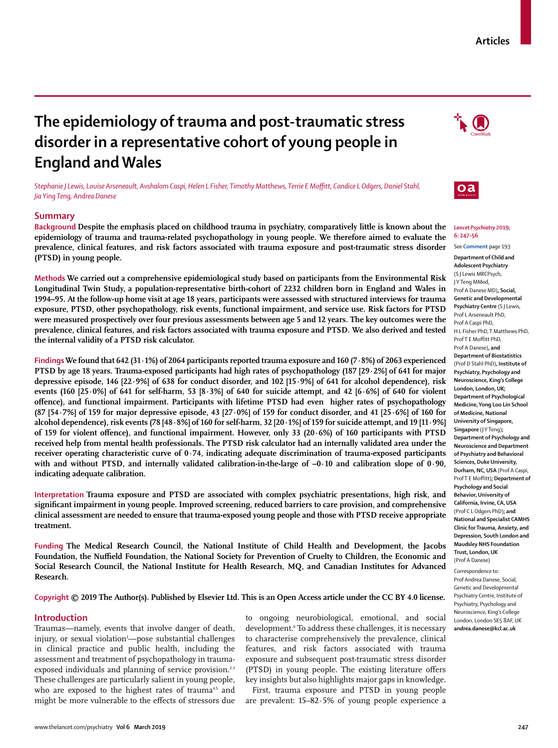# **The epidemiology of trauma and post-traumatic stress disorder in a representative cohort of young people in England and Wales**

*Stephanie J Lewis, Louise Arseneault, Avshalom Caspi, Helen L Fisher, Timothy Matthews, Terrie E Moffitt, Candice L Odgers, Daniel Stahl, Jia Ying Teng, Andrea Danese*

# **Summary**

**Background Despite the emphasis placed on childhood trauma in psychiatry, comparatively little is known about the epidemiology of trauma and trauma-related psychopathology in young people. We therefore aimed to evaluate the prevalence, clinical features, and risk factors associated with trauma exposure and post-traumatic stress disorder (PTSD) in young people.**

**Methods We carried out a comprehensive epidemiological study based on participants from the Environmental Risk Longitudinal Twin Study, a population-representative birth-cohort of 2232 children born in England and Wales in 1994–95. At the follow-up home visit at age 18 years, participants were assessed with structured interviews for trauma exposure, PTSD, other psychopathology, risk events, functional impairment, and service use. Risk factors for PTSD were measured prospectively over four previous assessments between age 5 and 12 years. The key outcomes were the prevalence, clinical features, and risk factors associated with trauma exposure and PTSD. We also derived and tested the internal validity of a PTSD risk calculator.**

**Findings We found that 642 (31·1%) of 2064 participants reported trauma exposure and 160 (7·8%) of 2063 experienced PTSD by age 18 years. Trauma-exposed participants had high rates of psychopathology (187 [29·2%] of 641 for major depressive episode, 146 [22·9%] of 638 for conduct disorder, and 102 [15·9%] of 641 for alcohol dependence), risk events (160 [25·0%] of 641 for self-harm, 53 [8·3%] of 640 for suicide attempt, and 42 [6·6%] of 640 for violent offence), and functional impairment. Participants with lifetime PTSD had even higher rates of psychopathology (87 [54·7%] of 159 for major depressive episode, 43 [27·0%] of 159 for conduct disorder, and 41 [25·6%] of 160 for alcohol dependence), risk events (78 [48·8%] of 160 for self-harm, 32 [20·1%] of 159 for suicide attempt, and 19 [11·9%] of 159 for violent offence), and functional impairment. However, only 33 (20·6%) of 160 participants with PTSD received help from mental health professionals. The PTSD risk calculator had an internally validated area under the receiver operating characteristic curve of 0∙74, indicating adequate discrimination of trauma-exposed participants**  with and without PTSD, and internally validated calibration-in-the-large of  $-0.10$  and calibration slope of 0.90, **indicating adequate calibration.**

**Interpretation Trauma exposure and PTSD are associated with complex psychiatric presentations, high risk, and significant impairment in young people. Improved screening, reduced barriers to care provision, and comprehensive clinical assessment are needed to ensure that trauma-exposed young people and those with PTSD receive appropriate treatment.**

**Funding The Medical Research Council, the National Institute of Child Health and Development, the Jacobs Foundation, the Nuffield Foundation, the National Society for Prevention of Cruelty to Children, the Economic and Social Research Council, the National Institute for Health Research, MQ, and Canadian Institutes for Advanced Research.**

# **Copyright © 2019 The Author(s). Published by Elsevier Ltd. This is an Open Access article under the CC BY 4.0 license.**

# **Introduction**

Traumas—namely, events that involve danger of death, injury, or sexual violation1 —pose substantial challenges in clinical practice and public health, including the assessment and treatment of psychopathology in traumaexposed individuals and planning of service provision.<sup>2,3</sup> These challenges are particularly salient in young people, who are exposed to the highest rates of trauma<sup>4,5</sup> and might be more vulnerable to the effects of stressors due

to ongoing neurobiological, emotional, and social development.<sup>6</sup> To address these challenges, it is necessary to characterise comprehensively the prevalence, clinical features, and risk factors associated with trauma exposure and subsequent post-traumatic stress disorder (PTSD) in young people. The existing literature offers key insights but also highlights major gaps in knowledge.

First, trauma exposure and PTSD in young people are prevalent: 15–82·5% of young people experience a

# *Lancet Psychiatry* **2019; 6: 247–56**

See **Comment** page 193

**Department of Child and Adolescent Psychiatry**  (S J Lewis MRCPsych, J Y Teng MMed, Prof A Danese MD)**, Social, Genetic and Developmental Psychiatry Centre** (S J Lewis, Prof L Arseneault PhD, Prof A Caspi PhD, H L Fisher PhD, T Matthews PhD, Prof T E Moffitt PhD, Prof A Danese)**, and Department of Biostatistics**  (Prof D Stahl PhD)**, Institute of Psychiatry, Psychology and Neuroscience, King's College London, London, UK; Department of Psychological Medicine, Yong Loo Lin School of Medicine, National University of Singapore, Singapore** (J Y Teng)**; Department of Psychology and Neuroscience and Department of Psychiatry and Behavioral Sciences, Duke University, Durham, NC, USA** (Prof A Caspi, Prof T E Moffitt)**; Department of Psychology and Social Behavior, University of California, Irvine, CA, USA** (Prof C L Odgers PhD)**; and National and Specialist CAMHS Clinic for Trauma, Anxiety, and Depression, South London and Maudsley NHS Foundation Trust, London, UK** 

Correspondence to: Prof Andrea Danese, Social, Genetic and Developmental Psychiatry Centre, Institute of Psychiatry, Psychology and Neuroscience, King's College London, London SE5 8AF, UK **andrea.danese@kcl.ac.uk**





 $\mathbf{0}$ a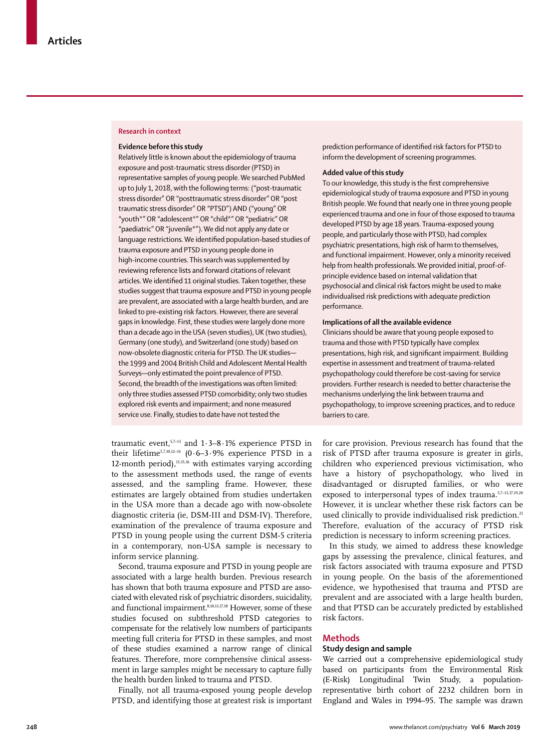#### **Research in context**

#### **Evidence before this study**

Relatively little is known about the epidemiology of trauma exposure and post-traumatic stress disorder (PTSD) in representative samples of young people. We searched PubMed up to July 1, 2018, with the following terms: ("post-traumatic stress disorder" OR "posttraumatic stress disorder" OR "post traumatic stress disorder" OR "PTSD") AND ("young" OR "youth\*" OR "adolescent\*" OR "child\*" OR "pediatric" OR "paediatric" OR "juvenile\*"). We did not apply any date or language restrictions. We identified population-based studies of trauma exposure and PTSD in young people done in high-income countries. This search was supplemented by reviewing reference lists and forward citations of relevant articles. We identified 11 original studies. Taken together, these studies suggest that trauma exposure and PTSD in young people are prevalent, are associated with a large health burden, and are linked to pre-existing risk factors. However, there are several gaps in knowledge. First, these studies were largely done more than a decade ago in the USA (seven studies), UK (two studies), Germany (one study), and Switzerland (one study) based on now-obsolete diagnostic criteria for PTSD. The UK studies the 1999 and 2004 British Child and Adolescent Mental Health Surveys—only estimated the point prevalence of PTSD. Second, the breadth of the investigations was often limited: only three studies assessed PTSD comorbidity; only two studies explored risk events and impairment; and none measured service use. Finally, studies to date have not tested the

traumatic event,  $57-13$  and  $1.3-8.1%$  experience PTSD in their lifetime<sup>5,7,10,12-14</sup> (0.6-3.9% experience PTSD in a 12-month period), $13,15,16$  with estimates varying according to the assessment methods used, the range of events assessed, and the sampling frame. However, these estimates are largely obtained from studies undertaken in the USA more than a decade ago with now-obsolete diagnostic criteria (ie, DSM-III and DSM-IV). Therefore, examination of the prevalence of trauma exposure and PTSD in young people using the current DSM-5 criteria in a contemporary, non-USA sample is necessary to inform service planning.

Second, trauma exposure and PTSD in young people are associated with a large health burden. Previous research has shown that both trauma exposure and PTSD are associated with elevated risk of psychiatric disorders, suicidality, and functional impairment.8,10,13,17,18 However, some of these studies focused on subthreshold PTSD categories to compensate for the relatively low numbers of participants meeting full criteria for PTSD in these samples, and most of these studies examined a narrow range of clinical features. Therefore, more comprehensive clinical assessment in large samples might be necessary to capture fully the health burden linked to trauma and PTSD.

Finally, not all trauma-exposed young people develop PTSD, and identifying those at greatest risk is important prediction performance of identified risk factors for PTSD to inform the development of screening programmes.

# **Added value of this study**

To our knowledge, this study is the first comprehensive epidemiological study of trauma exposure and PTSD in young British people. We found that nearly one in three young people experienced trauma and one in four of those exposed to trauma developed PTSD by age 18 years. Trauma-exposed young people, and particularly those with PTSD, had complex psychiatric presentations, high risk of harm to themselves, and functional impairment. However, only a minority received help from health professionals. We provided initial, proof-ofprinciple evidence based on internal validation that psychosocial and clinical risk factors might be used to make individualised risk predictions with adequate prediction performance.

# **Implications of all the available evidence**

Clinicians should be aware that young people exposed to trauma and those with PTSD typically have complex presentations, high risk, and significant impairment. Building expertise in assessment and treatment of trauma-related psychopathology could therefore be cost-saving for service providers. Further research is needed to better characterise the mechanisms underlying the link between trauma and psychopathology, to improve screening practices, and to reduce barriers to care.

for care provision. Previous research has found that the risk of PTSD after trauma exposure is greater in girls, children who experienced previous victimisation, who have a history of psychopathology, who lived in disadvantaged or disrupted families, or who were exposed to interpersonal types of index trauma.<sup>5,7-13,17,19,20</sup> However, it is unclear whether these risk factors can be used clinically to provide individualised risk prediction.<sup>21</sup> Therefore, evaluation of the accuracy of PTSD risk prediction is necessary to inform screening practices.

In this study, we aimed to address these knowledge gaps by assessing the prevalence, clinical features, and risk factors associated with trauma exposure and PTSD in young people. On the basis of the aforementioned evidence, we hypothesised that trauma and PTSD are prevalent and are associated with a large health burden, and that PTSD can be accurately predicted by established risk factors.

#### **Methods**

# **Study design and sample**

We carried out a comprehensive epidemiological study based on participants from the Environmental Risk (E-Risk) Longitudinal Twin Study, a populationrepresentative birth cohort of 2232 children born in England and Wales in 1994–95. The sample was drawn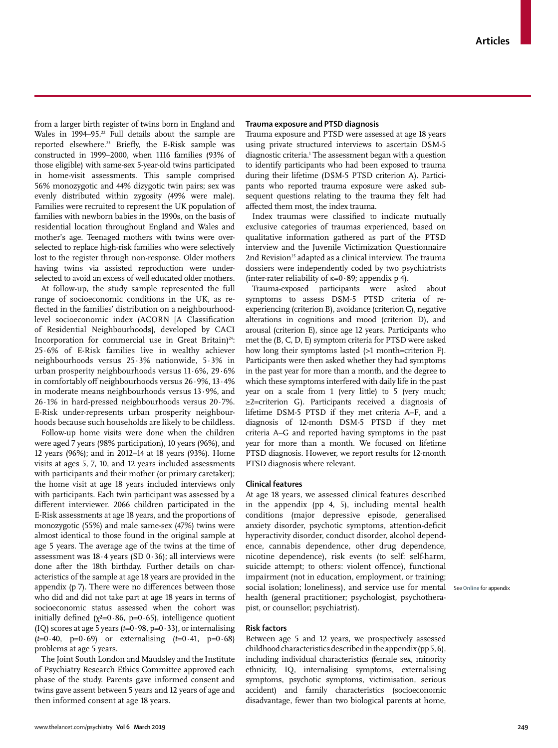from a larger birth register of twins born in England and Wales in 1994–95.<sup>22</sup> Full details about the sample are reported elsewhere.<sup>23</sup> Briefly, the E-Risk sample was constructed in 1999–2000, when 1116 families (93% of those eligible) with same-sex 5-year-old twins participated in home-visit assessments. This sample comprised 56% monozygotic and 44% dizygotic twin pairs; sex was evenly distributed within zygosity (49% were male). Families were recruited to represent the UK population of families with newborn babies in the 1990s, on the basis of residential location throughout England and Wales and mother's age. Teenaged mothers with twins were overselected to replace high-risk families who were selectively lost to the register through non-response. Older mothers having twins via assisted reproduction were underselected to avoid an excess of well educated older mothers.

At follow-up, the study sample represented the full range of socioeconomic conditions in the UK, as reflected in the families' distribution on a neighbourhoodlevel socioeconomic index (ACORN [A Classification of Residential Neighbourhoods], developed by CACI Incorporation for commercial use in Great Britain)<sup>24</sup>: 25·6% of E-Risk families live in wealthy achiever neighbourhoods versus 25·3% nationwide, 5·3% in urban prosperity neighbourhoods versus 11·6%, 29·6% in comfortably off neighbourhoods versus 26·9%, 13·4% in moderate means neighbourhoods versus 13·9%, and 26·1% in hard-pressed neighbourhoods versus 20·7%. E-Risk under-represents urban prosperity neighbourhoods because such households are likely to be childless.

Follow-up home visits were done when the children were aged 7 years (98% participation), 10 years (96%), and 12 years (96%); and in 2012–14 at 18 years (93%). Home visits at ages 5, 7, 10, and 12 years included assessments with participants and their mother (or primary caretaker); the home visit at age 18 years included interviews only with participants. Each twin participant was assessed by a different interviewer. 2066 children participated in the E-Risk assessments at age 18 years, and the proportions of monozygotic (55%) and male same-sex (47%) twins were almost identical to those found in the original sample at age 5 years. The average age of the twins at the time of assessment was  $18.4$  years (SD  $0.36$ ); all interviews were done after the 18th birthday. Further details on characteristics of the sample at age 18 years are provided in the appendix (p 7). There were no differences between those who did and did not take part at age 18 years in terms of socioeconomic status assessed when the cohort was initially defined ( $\chi^2$ =0·86, p=0·65), intelligence quotient (IQ) scores at age 5 years  $(t=0.98, p=0.33)$ , or internalising  $(t=0.40, p=0.69)$  or externalising  $(t=0.41, p=0.68)$ problems at age 5 years.

The Joint South London and Maudsley and the Institute of Psychiatry Research Ethics Committee approved each phase of the study. Parents gave informed consent and twins gave assent between 5 years and 12 years of age and then informed consent at age 18 years.

# **Trauma exposure and PTSD diagnosis**

Trauma exposure and PTSD were assessed at age 18 years using private structured interviews to ascertain DSM-5 diagnostic criteria.1 The assessment began with a question to identify participants who had been exposed to trauma during their lifetime (DSM-5 PTSD criterion A). Participants who reported trauma exposure were asked subsequent questions relating to the trauma they felt had affected them most, the index trauma.

Index traumas were classified to indicate mutually exclusive categories of traumas experienced, based on qualitative information gathered as part of the PTSD interview and the Juvenile Victimization Questionnaire 2nd Revision<sup>25</sup> adapted as a clinical interview. The trauma dossiers were independently coded by two psychiatrists (inter-rater reliability of  $\kappa$ =0.89; appendix p 4).

Trauma-exposed participants were asked about symptoms to assess DSM-5 PTSD criteria of reexperiencing (criterion B), avoidance (criterion C), negative alterations in cognitions and mood (criterion D), and arousal (criterion E), since age 12 years. Participants who met the (B, C, D, E) symptom criteria for PTSD were asked how long their symptoms lasted (>1 month=criterion F). Participants were then asked whether they had symptoms in the past year for more than a month, and the degree to which these symptoms interfered with daily life in the past year on a scale from 1 (very little) to 5 (very much; ≥2=criterion G). Participants received a diagnosis of lifetime DSM-5 PTSD if they met criteria A–F, and a diagnosis of 12-month DSM-5 PTSD if they met criteria A–G and reported having symptoms in the past year for more than a month. We focused on lifetime PTSD diagnosis. However, we report results for 12-month PTSD diagnosis where relevant.

# **Clinical features**

At age 18 years, we assessed clinical features described in the appendix (pp 4, 5), including mental health conditions (major depressive episode, generalised anxiety disorder, psychotic symptoms, attention-deficit hyperactivity disorder, conduct disorder, alcohol dependence, cannabis dependence, other drug dependence, nicotine dependence), risk events (to self: self-harm, suicide attempt; to others: violent offence), functional impairment (not in education, employment, or training; social isolation; loneliness), and service use for mental health (general practitioner; psychologist, psychotherapist, or counsellor; psychiatrist).

See **Online** for appendix

#### **Risk factors**

Between age 5 and 12 years, we prospectively assessed childhood characteristics described in the appendix (pp 5, 6), including individual characteristics (female sex, minority ethnicity, IQ, internalising symptoms, externalising symptoms, psychotic symptoms, victimisation, serious accident) and family characteristics (socioeconomic disadvantage, fewer than two biological parents at home,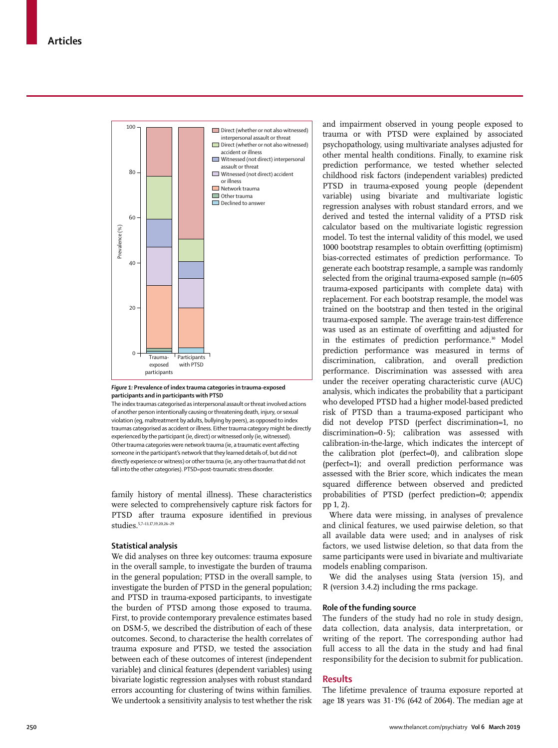

#### *Figure 1:* **Prevalence of index trauma categories in trauma-exposed participants and in participants with PTSD**

The index traumas categorised as interpersonal assault or threat involved actions of another person intentionally causing or threatening death, injury, or sexual violation (eg, maltreatment by adults, bullying by peers), as opposed to index traumas categorised as accident or illness. Either trauma category might be directly experienced by the participant (ie, direct) or witnessed only (ie, witnessed). Other trauma categories were network trauma (ie, a traumatic event affecting someone in the participant's network that they learned details of, but did not directly experience or witness) or other trauma (ie, any other trauma that did not fall into the other categories). PTSD=post-traumatic stress disorder.

family history of mental illness). These characteristics were selected to comprehensively capture risk factors for PTSD after trauma exposure identified in previous studies.5,7–13,17,19,20,26–29

# **Statistical analysis**

We did analyses on three key outcomes: trauma exposure in the overall sample, to investigate the burden of trauma in the general population; PTSD in the overall sample, to investigate the burden of PTSD in the general population; and PTSD in trauma-exposed participants, to investigate the burden of PTSD among those exposed to trauma. First, to provide contemporary prevalence estimates based on DSM-5, we described the distribution of each of these outcomes. Second, to characterise the health correlates of trauma exposure and PTSD, we tested the association between each of these outcomes of interest (independent variable) and clinical features (dependent variables) using bivariate logistic regression analyses with robust standard errors accounting for clustering of twins within families. We undertook a sensitivity analysis to test whether the risk and impairment observed in young people exposed to trauma or with PTSD were explained by associated psychopathology, using multivariate analyses adjusted for other mental health conditions. Finally, to examine risk prediction performance, we tested whether selected childhood risk factors (independent variables) predicted PTSD in trauma-exposed young people (dependent variable) using bivariate and multivariate logistic regression analyses with robust standard errors, and we derived and tested the internal validity of a PTSD risk calculator based on the multivariate logistic regression model. To test the internal validity of this model, we used 1000 bootstrap resamples to obtain overfitting (optimism) bias-corrected estimates of prediction performance. To generate each bootstrap resample, a sample was randomly selected from the original trauma-exposed sample (n=605 trauma-exposed participants with complete data) with replacement. For each bootstrap resample, the model was trained on the bootstrap and then tested in the original trauma-exposed sample. The average train-test difference was used as an estimate of overfitting and adjusted for in the estimates of prediction performance.<sup>30</sup> Model prediction performance was measured in terms of discrimination, calibration, and overall prediction performance. Discrimination was assessed with area under the receiver operating characteristic curve (AUC) analysis, which indicates the probability that a participant who developed PTSD had a higher model-based predicted risk of PTSD than a trauma-exposed participant who did not develop PTSD (perfect discrimination=1, no discrimination=0·5); calibration was assessed with calibration-in-the-large, which indicates the intercept of the calibration plot (perfect=0), and calibration slope (perfect=1); and overall prediction performance was assessed with the Brier score, which indicates the mean squared difference between observed and predicted probabilities of PTSD (perfect prediction=0; appendix pp 1, 2).

Where data were missing, in analyses of prevalence and clinical features, we used pairwise deletion, so that all available data were used; and in analyses of risk factors, we used listwise deletion, so that data from the same participants were used in bivariate and multivariate models enabling comparison.

We did the analyses using Stata (version 15), and R (version 3.4.2) including the rms package.

## **Role of the funding source**

The funders of the study had no role in study design, data collection, data analysis, data interpretation, or writing of the report. The corresponding author had full access to all the data in the study and had final responsibility for the decision to submit for publication.

# **Results**

The lifetime prevalence of trauma exposure reported at age 18 years was 31·1% (642 of 2064). The median age at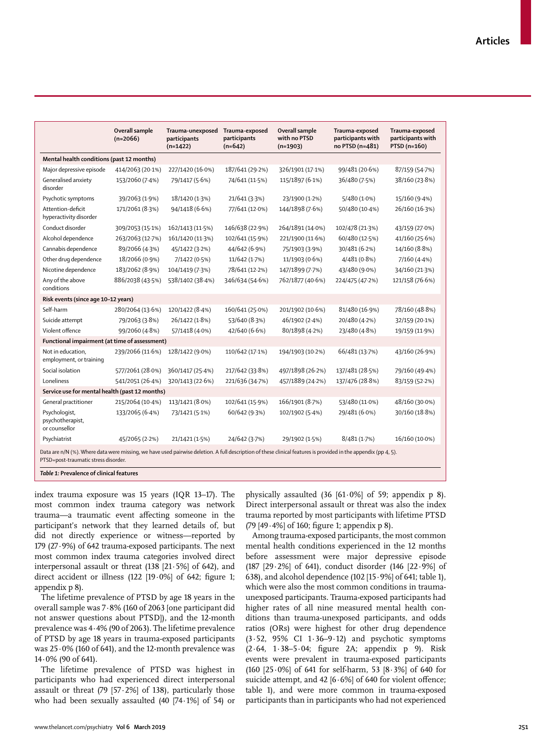|                                                                                                                                                                                                         | Overall sample<br>$(n=2066)$ | Trauma-unexposed<br>participants<br>$(n=1422)$ | Trauma-exposed<br>participants<br>$(n=642)$ | Overall sample<br>with no PTSD<br>$(n=1903)$ | Trauma-exposed<br>participants with<br>no PTSD (n=481) | Trauma-exposed<br>participants with<br>PTSD (n=160) |
|---------------------------------------------------------------------------------------------------------------------------------------------------------------------------------------------------------|------------------------------|------------------------------------------------|---------------------------------------------|----------------------------------------------|--------------------------------------------------------|-----------------------------------------------------|
| Mental health conditions (past 12 months)                                                                                                                                                               |                              |                                                |                                             |                                              |                                                        |                                                     |
| Major depressive episode                                                                                                                                                                                | 414/2063 (20.1%)             | 227/1420 (16.0%)                               | 187/641 (29.2%)                             | 326/1901 (17.1%)                             | 99/481 (20.6%)                                         | 87/159 (54.7%)                                      |
| Generalised anxiety                                                                                                                                                                                     | 153/2060 (7.4%)              | 79/1417 (5.6%)                                 | 74/641 (11.5%)                              | 115/1897 (6.1%)                              | 36/480 (7.5%)                                          | 38/160 (23.8%)                                      |
| disorder                                                                                                                                                                                                |                              |                                                |                                             |                                              |                                                        |                                                     |
| Psychotic symptoms                                                                                                                                                                                      | 39/2063 (1.9%)               | 18/1420 (1.3%)                                 | 21/641 (3.3%)                               | 23/1900 (1.2%)                               | 5/480 (1.0%)                                           | 15/160 (9.4%)                                       |
| Attention-deficit<br>hyperactivity disorder                                                                                                                                                             | 171/2061 (8.3%)              | 94/1418 (6.6%)                                 | 77/641 (12.0%)                              | 144/1898 (7.6%)                              | 50/480 (10-4%)                                         | 26/160 (16.3%)                                      |
| Conduct disorder                                                                                                                                                                                        | 309/2053 (15.1%)             | 162/1413 (11.5%)                               | 146/638 (22.9%)                             | 264/1891 (14.0%)                             | 102/478 (21.3%)                                        | 43/159 (27.0%)                                      |
| Alcohol dependence                                                                                                                                                                                      | 263/2063 (12.7%)             | 161/1420 (11.3%)                               | 102/641 (15.9%)                             | 221/1900 (11.6%)                             | 60/480 (12.5%)                                         | 41/160 (25.6%)                                      |
| Cannabis dependence                                                                                                                                                                                     | 89/2066 (4.3%)               | 45/1422 (3.2%)                                 | 44/642 (6.9%)                               | 75/1903 (3.9%)                               | 30/481 (6.2%)                                          | 14/160 (8.8%)                                       |
| Other drug dependence                                                                                                                                                                                   | 18/2066 (0.9%)               | 7/1422 (0.5%)                                  | 11/642 (1.7%)                               | 11/1903 (0.6%)                               | 4/481 (0.8%)                                           | 7/160(4.4%)                                         |
| Nicotine dependence                                                                                                                                                                                     | 183/2062 (8.9%)              | 104/1419 (7.3%)                                | 78/641 (12-2%)                              | 147/1899 (7.7%)                              | 43/480 (9.0%)                                          | 34/160 (21.3%)                                      |
| Any of the above<br>conditions                                                                                                                                                                          | 886/2038 (43.5%)             | 538/1402 (38.4%)                               | 346/634 (54.6%)                             | 762/1877 (40.6%)                             | 224/475 (47.2%)                                        | 121/158 (76.6%)                                     |
| Risk events (since age 10-12 years)                                                                                                                                                                     |                              |                                                |                                             |                                              |                                                        |                                                     |
| Self-harm                                                                                                                                                                                               | 280/2064 (13.6%)             | 120/1422 (8.4%)                                | 160/641 (25.0%)                             | 201/1902 (10.6%)                             | 81/480 (16.9%)                                         | 78/160 (48.8%)                                      |
| Suicide attempt                                                                                                                                                                                         | 79/2063 (3.8%)               | 26/1422 (1.8%)                                 | 53/640 (8.3%)                               | 46/1902 (2.4%)                               | 20/480 (4.2%)                                          | 32/159 (20-1%)                                      |
| Violent offence                                                                                                                                                                                         | 99/2060 (4.8%)               | 57/1418 (4.0%)                                 | 42/640 (6.6%)                               | 80/1898 (4.2%)                               | 23/480 (4.8%)                                          | 19/159 (11.9%)                                      |
| Functional impairment (at time of assessment)                                                                                                                                                           |                              |                                                |                                             |                                              |                                                        |                                                     |
| Not in education,<br>employment, or training                                                                                                                                                            | 239/2066 (11.6%)             | 128/1422 (9.0%)                                | 110/642 (17.1%)                             | 194/1903 (10-2%)                             | 66/481 (13.7%)                                         | 43/160 (26.9%)                                      |
| Social isolation                                                                                                                                                                                        | 577/2061 (28.0%)             | 360/1417 (25.4%)                               | 217/642 (33.8%)                             | 497/1898 (26-2%)                             | 137/481 (28.5%)                                        | 79/160 (49.4%)                                      |
| Loneliness                                                                                                                                                                                              | 541/2051 (26.4%)             | 320/1413 (22.6%)                               | 221/636 (34.7%)                             | 457/1889 (24.2%)                             | 137/476 (28.8%)                                        | 83/159 (52.2%)                                      |
| Service use for mental health (past 12 months)                                                                                                                                                          |                              |                                                |                                             |                                              |                                                        |                                                     |
| General practitioner                                                                                                                                                                                    | 215/2064 (10-4%)             | 113/1421 (8.0%)                                | 102/641 (15.9%)                             | 166/1901 (8.7%)                              | 53/480 (11.0%)                                         | 48/160 (30.0%)                                      |
| Psychologist,<br>psychotherapist,<br>or counsellor                                                                                                                                                      | 133/2065 (6.4%)              | 73/1421 (5.1%)                                 | 60/642 (9.3%)                               | 102/1902 (5.4%)                              | 29/481 (6.0%)                                          | 30/160 (18.8%)                                      |
| Psychiatrist                                                                                                                                                                                            | 45/2065 (2.2%)               | 21/1421 (1.5%)                                 | 24/642 (3.7%)                               | 29/1902 (1.5%)                               | 8/481 (1.7%)                                           | 16/160 (10.0%)                                      |
| Data are n/N (%). Where data were missing, we have used pairwise deletion. A full description of these clinical features is provided in the appendix (pp 4, 5).<br>PTSD=post-traumatic stress disorder. |                              |                                                |                                             |                                              |                                                        |                                                     |

index trauma exposure was 15 years (IQR 13–17). The most common index trauma category was network trauma—a traumatic event affecting someone in the participant's network that they learned details of, but did not directly experience or witness—reported by 179 (27·9%) of 642 trauma-exposed participants. The next most common index trauma categories involved direct interpersonal assault or threat (138 [21·5%] of 642), and direct accident or illness (122  $[19.0\%]$  of 642; figure 1; appendix p 8).

The lifetime prevalence of PTSD by age 18 years in the overall sample was 7·8% (160 of 2063 [one participant did not answer questions about PTSD]), and the 12-month prevalence was 4·4% (90 of 2063). The lifetime prevalence of PTSD by age 18 years in trauma-exposed participants was 25·0% (160 of 641), and the 12-month prevalence was 14·0% (90 of 641).

The lifetime prevalence of PTSD was highest in participants who had experienced direct interpersonal assault or threat  $(79 \mid 57.2\%)$  of 138), particularly those who had been sexually assaulted (40 [74·1%] of 54) or physically assaulted (36  $[61.0\%]$  of 59; appendix p 8). Direct interpersonal assault or threat was also the index trauma reported by most participants with lifetime PTSD (79 [49·4%] of 160; figure 1; appendix p 8).

Among trauma-exposed participants, the most common mental health conditions experienced in the 12 months before assessment were major depressive episode (187 [29·2%] of 641), conduct disorder (146 [22·9%] of 638), and alcohol dependence (102 [15·9%] of 641; table 1), which were also the most common conditions in traumaunexposed participants. Trauma-exposed participants had higher rates of all nine measured mental health conditions than trauma-unexposed participants, and odds ratios (ORs) were highest for other drug dependence (3·52, 95% CI 1·36–9·12) and psychotic symptoms (2·64, 1·38–5·04; figure 2A; appendix p 9). Risk events were prevalent in trauma-exposed participants (160 [25·0%] of 641 for self-harm, 53 [8·3%] of 640 for suicide attempt, and 42  $[6.6\%]$  of 640 for violent offence; table 1), and were more common in trauma-exposed participants than in participants who had not experienced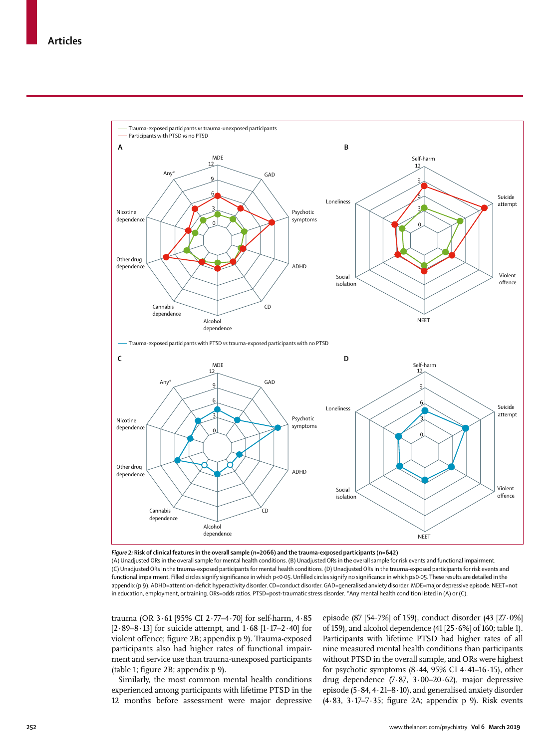

*Figure 2:* **Risk of clinical features in the overall sample (n=2066) and the trauma-exposed participants (n=642)** (A) Unadjusted ORs in the overall sample for mental health conditions. (B) Unadjusted ORs in the overall sample for risk events and functional impairment. (C) Unadjusted ORs in the trauma-exposed participants for mental health conditions. (D) Unadjusted ORs in the trauma-exposed participants for risk events and functional impairment. Filled circles signify significance in which p<0·05. Unfilled circles signify no significance in which p≥0·05. These results are detailed in the appendix (p 9). ADHD=attention-deficit hyperactivity disorder. CD=conduct disorder. GAD=generalised anxiety disorder. MDE=major depressive episode. NEET=not in education, employment, or training. ORs=odds ratios. PTSD=post-traumatic stress disorder. \*Any mental health condition listed in (A) or (C).

trauma (OR 3·61 [95% CI 2·77–4·70] for self-harm, 4·85  $[2.89 - 8.13]$  for suicide attempt, and  $1.68$   $[1.17 - 2.40]$  for violent offence; figure 2B; appendix p 9). Trauma-exposed participants also had higher rates of functional impairment and service use than trauma-unexposed participants (table 1; figure 2B; appendix p 9).

Similarly, the most common mental health conditions experienced among participants with lifetime PTSD in the 12 months before assessment were major depressive episode (87 [54·7%] of 159), conduct disorder (43 [27·0%] of 159), and alcohol dependence (41  $[25.6\%]$  of 160; table 1). Participants with lifetime PTSD had higher rates of all nine measured mental health conditions than participants without PTSD in the overall sample, and ORs were highest for psychotic symptoms  $(8.44, 95\% \text{ CI } 4.41-16.15)$ , other drug dependence (7·87, 3·00–20·62), major depressive episode (5·84, 4·21–8·10), and generalised anxiety disorder  $(4.83, 3.17-7.35;$  figure 2A; appendix p 9). Risk events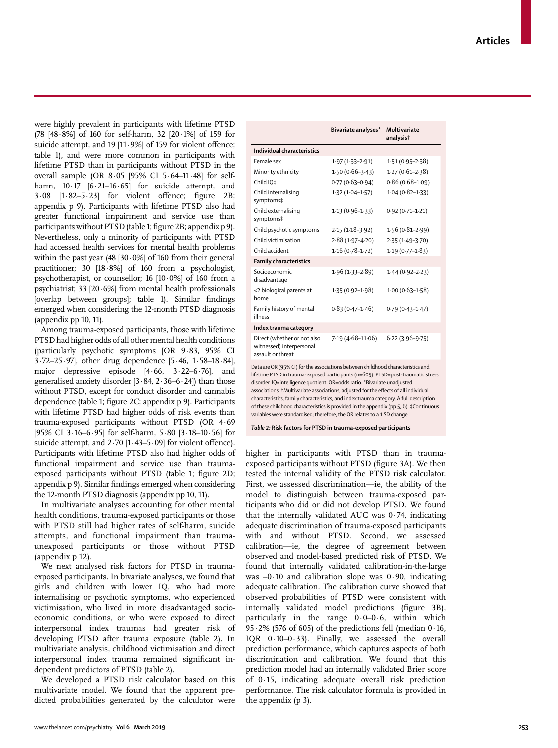were highly prevalent in participants with lifetime PTSD (78 [48·8%] of 160 for self-harm, 32 [20·1%] of 159 for suicide attempt, and 19 [11.9%] of 159 for violent offence; table 1), and were more common in participants with lifetime PTSD than in participants without PTSD in the overall sample (OR 8·05 [95% CI 5·64–11·48] for selfharm,  $10.17$  [6.21-16.65] for suicide attempt, and 3·08 [1·82–5·23] for violent offence; figure 2B; appendix p 9). Participants with lifetime PTSD also had greater functional impairment and service use than participants without PTSD (table 1; figure 2B; appendix p 9). Nevertheless, only a minority of participants with PTSD had accessed health services for mental health problems within the past year  $(48 \mid 30.0\%)$  of 160 from their general practitioner; 30 [18·8%] of 160 from a psychologist, psychotherapist, or counsellor; 16 [10·0%] of 160 from a psychiatrist; 33 [20·6%] from mental health professionals [overlap between groups]; table 1). Similar findings emerged when considering the 12-month PTSD diagnosis (appendix pp 10, 11).

Among trauma-exposed participants, those with lifetime PTSD had higher odds of all other mental health conditions (particularly psychotic symptoms [OR 9·83, 95% CI 3·72–25·97], other drug dependence [5·46, 1·58–18·84], major depressive episode [4·66, 3·22–6·76], and generalised anxiety disorder [3·84, 2·36–6·24]) than those without PTSD, except for conduct disorder and cannabis dependence (table 1; figure 2C; appendix p 9). Participants with lifetime PTSD had higher odds of risk events than trauma-exposed participants without PTSD (OR 4·69 [95% CI 3·16–6·95] for self-harm, 5·80 [3·18–10·56] for suicide attempt, and  $2.70$  [1 $\cdot$ 43-5 $\cdot$ 09] for violent offence). Participants with lifetime PTSD also had higher odds of functional impairment and service use than traumaexposed participants without PTSD (table 1; figure 2D; appendix p 9). Similar findings emerged when considering the 12-month PTSD diagnosis (appendix pp 10, 11).

In multivariate analyses accounting for other mental health conditions, trauma-exposed participants or those with PTSD still had higher rates of self-harm, suicide attempts, and functional impairment than traumaunexposed participants or those without PTSD (appendix p 12).

We next analysed risk factors for PTSD in traumaexposed participants. In bivariate analyses, we found that girls and children with lower IQ, who had more internalising or psychotic symptoms, who experienced victimisation, who lived in more disadvantaged socioeconomic conditions, or who were exposed to direct interpersonal index traumas had greater risk of developing PTSD after trauma exposure (table 2). In multivariate analysis, childhood victimisation and direct interpersonal index trauma remained significant independent predictors of PTSD (table 2).

We developed a PTSD risk calculator based on this multivariate model. We found that the apparent predicted probabilities generated by the calculator were

|                                                                                                                                                                                                                                                                                                                                                                                                                                                                                                                                                                                                        | Bivariate analyses* | Multivariate<br>analysist |  |  |  |  |
|--------------------------------------------------------------------------------------------------------------------------------------------------------------------------------------------------------------------------------------------------------------------------------------------------------------------------------------------------------------------------------------------------------------------------------------------------------------------------------------------------------------------------------------------------------------------------------------------------------|---------------------|---------------------------|--|--|--|--|
| Individual characteristics                                                                                                                                                                                                                                                                                                                                                                                                                                                                                                                                                                             |                     |                           |  |  |  |  |
| Female sex                                                                                                                                                                                                                                                                                                                                                                                                                                                                                                                                                                                             | $1.97(1.33 - 2.91)$ | $1.51(0.95 - 2.38)$       |  |  |  |  |
| Minority ethnicity                                                                                                                                                                                                                                                                                                                                                                                                                                                                                                                                                                                     | $1.50(0.66 - 3.43)$ | $1.27(0.61 - 2.38)$       |  |  |  |  |
| Child IO‡                                                                                                                                                                                                                                                                                                                                                                                                                                                                                                                                                                                              | $0.77(0.63 - 0.94)$ | $0.86(0.68 - 1.09)$       |  |  |  |  |
| Child internalising<br>symptoms‡                                                                                                                                                                                                                                                                                                                                                                                                                                                                                                                                                                       | $1.32(1.04 - 1.57)$ | $1.04(0.82 - 1.33)$       |  |  |  |  |
| Child externalising<br>symptoms‡                                                                                                                                                                                                                                                                                                                                                                                                                                                                                                                                                                       | $1.13(0.96 - 1.33)$ | $0.92(0.71 - 1.21)$       |  |  |  |  |
| Child psychotic symptoms                                                                                                                                                                                                                                                                                                                                                                                                                                                                                                                                                                               | $2.15(1.18-3.92)$   | $1.56(0.81 - 2.99)$       |  |  |  |  |
| Child victimisation                                                                                                                                                                                                                                                                                                                                                                                                                                                                                                                                                                                    | 2.88 (1.97-4.20)    | $2.35(1.49-3.70)$         |  |  |  |  |
| Child accident                                                                                                                                                                                                                                                                                                                                                                                                                                                                                                                                                                                         | $1.16(0.78-1.72)$   | $1.19(0.77 - 1.83)$       |  |  |  |  |
| <b>Family characteristics</b>                                                                                                                                                                                                                                                                                                                                                                                                                                                                                                                                                                          |                     |                           |  |  |  |  |
| Socioeconomic<br>disadvantage                                                                                                                                                                                                                                                                                                                                                                                                                                                                                                                                                                          | $1.96(1.33 - 2.89)$ | $1.44(0.92 - 2.23)$       |  |  |  |  |
| <2 biological parents at<br>home                                                                                                                                                                                                                                                                                                                                                                                                                                                                                                                                                                       | $1.35(0.92 - 1.98)$ | $1.00(0.63 - 1.58)$       |  |  |  |  |
| Family history of mental<br>illness                                                                                                                                                                                                                                                                                                                                                                                                                                                                                                                                                                    | $0.83(0.47 - 1.46)$ | $0.79(0.43 - 1.47)$       |  |  |  |  |
| Index trauma category                                                                                                                                                                                                                                                                                                                                                                                                                                                                                                                                                                                  |                     |                           |  |  |  |  |
| Direct (whether or not also<br>witnessed) interpersonal<br>assault or threat                                                                                                                                                                                                                                                                                                                                                                                                                                                                                                                           | 7.19 (4.68-11.06)   | $6.22(3.96-9.75)$         |  |  |  |  |
| Data are OR (95% CI) for the associations between childhood characteristics and<br>lifetime PTSD in trauma-exposed participants (n=605). PTSD=post-traumatic stress<br>disorder. IQ=intelligence quotient. OR=odds ratio. *Bivariate unadjusted<br>associations. +Multivariate associations, adjusted for the effects of all individual<br>characteristics, family characteristics, and index trauma category. A full description<br>of these childhood characteristics is provided in the appendix (pp 5, 6). #Continuous<br>variables were standardised; therefore, the OR relates to a 1 SD change. |                     |                           |  |  |  |  |
| Table 2: Risk factors for PTSD in trauma-exposed participants                                                                                                                                                                                                                                                                                                                                                                                                                                                                                                                                          |                     |                           |  |  |  |  |

higher in participants with PTSD than in traumaexposed participants without PTSD (figure 3A). We then tested the internal validity of the PTSD risk calculator. First, we assessed discrimination—ie, the ability of the model to distinguish between trauma-exposed participants who did or did not develop PTSD. We found that the internally validated AUC was 0·74, indicating adequate discrimination of trauma-exposed participants with and without PTSD. Second, we assessed calibration—ie, the degree of agreement between observed and model-based predicted risk of PTSD. We found that internally validated calibration-in-the-large was  $-0.10$  and calibration slope was  $0.90$ , indicating adequate calibration. The calibration curve showed that observed probabilities of PTSD were consistent with internally validated model predictions (figure 3B), particularly in the range  $0.0-0.6$ , within which 95 $\cdot$ 2% (576 of 605) of the predictions fell (median 0 $\cdot$ 16, IQR 0·10–0·33). Finally, we assessed the overall prediction performance, which captures aspects of both discrimination and calibration. We found that this prediction model had an internally validated Brier score of 0·15, indicating adequate overall risk prediction performance. The risk calculator formula is provided in the appendix (p 3).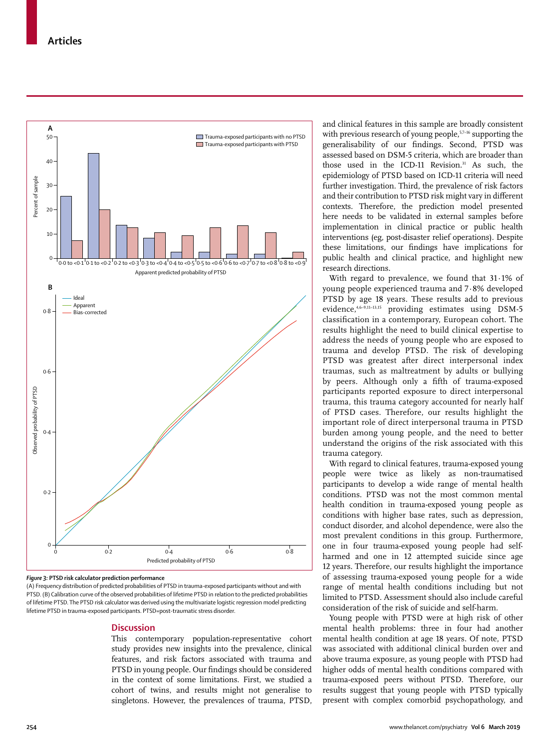

*Figure 3:* **PTSD risk calculator prediction performance**

(A) Frequency distribution of predicted probabilities of PTSD in trauma-exposed participants without and with PTSD. (B) Calibration curve of the observed probabilities of lifetime PTSD in relation to the predicted probabilities of lifetime PTSD. The PTSD risk calculator was derived using the multivariate logistic regression model predicting lifetime PTSD in trauma-exposed participants. PTSD=post-traumatic stress disorder.

# **Discussion**

This contemporary population-representative cohort study provides new insights into the prevalence, clinical features, and risk factors associated with trauma and PTSD in young people. Our findings should be considered in the context of some limitations. First, we studied a cohort of twins, and results might not generalise to singletons. However, the prevalences of trauma, PTSD,

and clinical features in this sample are broadly consistent with previous research of young people,<sup>5,7–16</sup> supporting the generalisability of our findings. Second, PTSD was assessed based on DSM-5 criteria, which are broader than those used in the ICD-11 Revision.<sup>31</sup> As such, the epidemiology of PTSD based on ICD-11 criteria will need further investigation. Third, the prevalence of risk factors and their contribution to PTSD risk might vary in different contexts. Therefore, the prediction model presented here needs to be validated in external samples before implementation in clinical practice or public health interventions (eg, post-disaster relief operations). Despite these limitations, our findings have implications for public health and clinical practice, and highlight new research directions.

With regard to prevalence, we found that 31·1% of young people experienced trauma and 7·8% developed PTSD by age 18 years. These results add to previous evidence,<sup>4,6-9,11-13,15</sup> providing estimates using DSM-5 classification in a contemporary, European cohort. The results highlight the need to build clinical expertise to address the needs of young people who are exposed to trauma and develop PTSD. The risk of developing PTSD was greatest after direct interpersonal index traumas, such as maltreatment by adults or bullying by peers. Although only a fifth of trauma-exposed participants reported exposure to direct interpersonal trauma, this trauma category accounted for nearly half of PTSD cases. Therefore, our results highlight the important role of direct interpersonal trauma in PTSD burden among young people, and the need to better understand the origins of the risk associated with this trauma category.

With regard to clinical features, trauma-exposed young people were twice as likely as non-traumatised participants to develop a wide range of mental health conditions. PTSD was not the most common mental health condition in trauma-exposed young people as conditions with higher base rates, such as depression, conduct disorder, and alcohol dependence, were also the most prevalent conditions in this group. Furthermore, one in four trauma-exposed young people had selfharmed and one in 12 attempted suicide since age 12 years. Therefore, our results highlight the importance of assessing trauma-exposed young people for a wide range of mental health conditions including but not limited to PTSD. Assessment should also include careful consideration of the risk of suicide and self-harm.

Young people with PTSD were at high risk of other mental health problems: three in four had another mental health condition at age 18 years. Of note, PTSD was associated with additional clinical burden over and above trauma exposure, as young people with PTSD had higher odds of mental health conditions compared with trauma-exposed peers without PTSD. Therefore, our results suggest that young people with PTSD typically present with complex comorbid psychopathology, and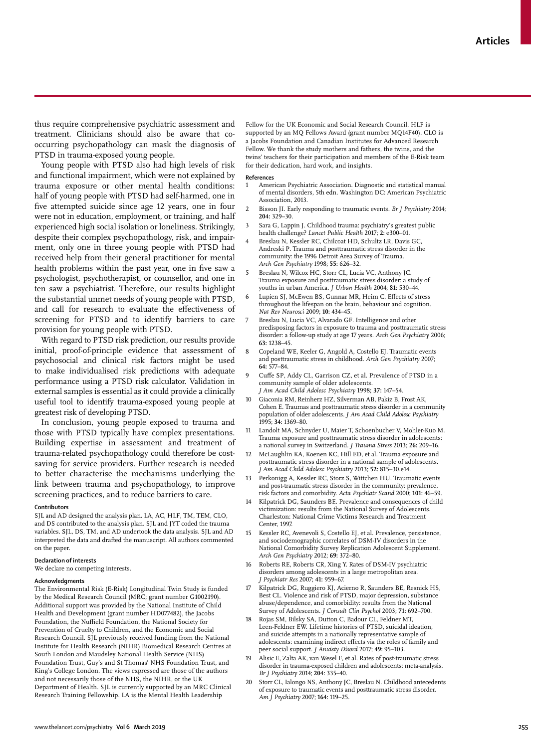thus require comprehensive psychiatric assessment and treatment. Clinicians should also be aware that cooccurring psychopathology can mask the diagnosis of PTSD in trauma-exposed young people.

Young people with PTSD also had high levels of risk and functional impairment, which were not explained by trauma exposure or other mental health conditions: half of young people with PTSD had self-harmed, one in five attempted suicide since age 12 years, one in four were not in education, employment, or training, and half experienced high social isolation or loneliness. Strikingly, despite their complex psychopathology, risk, and impairment, only one in three young people with PTSD had received help from their general practitioner for mental health problems within the past year, one in five saw a psychologist, psychotherapist, or counsellor, and one in ten saw a psychiatrist. Therefore, our results highlight the substantial unmet needs of young people with PTSD, and call for research to evaluate the effectiveness of screening for PTSD and to identify barriers to care provision for young people with PTSD.

With regard to PTSD risk prediction, our results provide initial, proof-of-principle evidence that assessment of psychosocial and clinical risk factors might be used to make individualised risk predictions with adequate performance using a PTSD risk calculator. Validation in external samples is essential as it could provide a clinically useful tool to identify trauma-exposed young people at greatest risk of developing PTSD.

In conclusion, young people exposed to trauma and those with PTSD typically have complex presentations. Building expertise in assessment and treatment of trauma-related psychopathology could therefore be costsaving for service providers. Further research is needed to better characterise the mechanisms underlying the link between trauma and psychopathology, to improve screening practices, and to reduce barriers to care.

#### **Contributors**

SJL and AD designed the analysis plan. LA, AC, HLF, TM, TEM, CLO, and DS contributed to the analysis plan. SJL and JYT coded the trauma variables. SJL, DS, TM, and AD undertook the data analysis. SJL and AD interpreted the data and drafted the manuscript. All authors commented on the paper.

# **Declaration of interests**

We declare no competing interests.

#### **Acknowledgments**

The Environmental Risk (E-Risk) Longitudinal Twin Study is funded by the Medical Research Council (MRC; grant number G1002190). Additional support was provided by the National Institute of Child Health and Development (grant number HD077482), the Jacobs Foundation, the Nuffield Foundation, the National Society for Prevention of Cruelty to Children, and the Economic and Social Research Council. SJL previously received funding from the National Institute for Health Research (NIHR) Biomedical Research Centres at South London and Maudsley National Health Service (NHS) Foundation Trust, Guy's and St Thomas' NHS Foundation Trust, and King's College London. The views expressed are those of the authors and not necessarily those of the NHS, the NIHR, or the UK Department of Health. SJL is currently supported by an MRC Clinical Research Training Fellowship. LA is the Mental Health Leadership

Fellow for the UK Economic and Social Research Council. HLF is supported by an MQ Fellows Award (grant number MQ14F40). CLO is a Jacobs Foundation and Canadian Institutes for Advanced Research Fellow. We thank the study mothers and fathers, the twins, and the twins' teachers for their participation and members of the E-Risk team for their dedication, hard work, and insights.

#### **References**

- 1 American Psychiatric Association. Diagnostic and statistical manual of mental disorders, 5th edn. Washington DC: American Psychiatric Association, 2013.
- 2 Bisson JI. Early responding to traumatic events. *Br J Psychiatry* 2014; **204:** 329–30.
- 3 Sara G, Lappin J. Childhood trauma: psychiatry's greatest public health challenge? *Lancet Public Health* 2017; **2:** e300–01.
- 4 Breslau N, Kessler RC, Chilcoat HD, Schultz LR, Davis GC, Andreski P. Trauma and posttraumatic stress disorder in the community: the 1996 Detroit Area Survey of Trauma. *Arch Gen Psychiatry* 1998; **55:** 626–32.
- Breslau N, Wilcox HC, Storr CL, Lucia VC, Anthony JC. Trauma exposure and posttraumatic stress disorder: a study of youths in urban America. *J Urban Health* 2004; **81:** 530–44.
- Lupien SJ, McEwen BS, Gunnar MR, Heim C. Effects of stress throughout the lifespan on the brain, behaviour and cognition. *Nat Rev Neurosci* 2009; **10:** 434–45.
- 7 Breslau N, Lucia VC, Alvarado GF. Intelligence and other predisposing factors in exposure to trauma and posttraumatic stress disorder: a follow-up study at age 17 years. *Arch Gen Psychiatry* 2006; **63:** 1238–45.
- 8 Copeland WE, Keeler G, Angold A, Costello EJ. Traumatic events and posttraumatic stress in childhood. *Arch Gen Psychiatry* 2007; **64:** 577–84.
- 9 Cuffe SP, Addy CL, Garrison CZ, et al. Prevalence of PTSD in a community sample of older adolescents. *J Am Acad Child Adolesc Psychiatry* 1998; **37:** 147–54.
- 10 Giaconia RM, Reinherz HZ, Silverman AB, Pakiz B, Frost AK, Cohen E. Traumas and posttraumatic stress disorder in a community population of older adolescents. *J Am Acad Child Adolesc Psychiatry* 1995; **34:** 1369–80.
- 11 Landolt MA, Schnyder U, Maier T, Schoenbucher V, Mohler-Kuo M. Trauma exposure and posttraumatic stress disorder in adolescents: a national survey in Switzerland. *J Trauma Stress* 2013; **26:** 209–16.
- 12 McLaughlin KA, Koenen KC, Hill ED, et al*.* Trauma exposure and posttraumatic stress disorder in a national sample of adolescents. *J Am Acad Child Adolesc Psychiatry* 2013; **52:** 815–30.e14.
- 13 Perkonigg A, Kessler RC, Storz S, Wittchen HU. Traumatic events and post-traumatic stress disorder in the community: prevalence, risk factors and comorbidity. *Acta Psychiatr Scand* 2000; **101:** 46–59.
- 14 Kilpatrick DG, Saunders BE. Prevalence and consequences of child victimization: results from the National Survey of Adolescents. Charleston: National Crime Victims Research and Treatment Center, 1997.
- 15 Kessler RC, Avenevoli S, Costello EJ, et al*.* Prevalence, persistence, and sociodemographic correlates of DSM-IV disorders in the National Comorbidity Survey Replication Adolescent Supplement. *Arch Gen Psychiatry* 2012; **69:** 372–80.
- 16 Roberts RE, Roberts CR, Xing Y. Rates of DSM-IV psychiatric disorders among adolescents in a large metropolitan area. *J Psychiatr Res* 2007; **41:** 959–67.
- Kilpatrick DG, Ruggiero KJ, Acierno R, Saunders BE, Resnick HS, Best CL. Violence and risk of PTSD, major depression, substance abuse/dependence, and comorbidity: results from the National Survey of Adolescents. *J Consult Clin Psychol* 2003; **71:** 692–700.
- 18 Rojas SM, Bilsky SA, Dutton C, Badour CL, Feldner MT, Leen-Feldner EW. Lifetime histories of PTSD, suicidal ideation, and suicide attempts in a nationally representative sample of adolescents: examining indirect effects via the roles of family and peer social support. *J Anxiety Disord* 2017; **49:** 95–103.
- 19 Alisic E, Zalta AK, van Wesel F, et al. Rates of post-traumatic stress disorder in trauma-exposed children and adolescents: meta-analysis. *Br J Psychiatry* 2014; **204:** 335–40.
- Storr CL, Ialongo NS, Anthony JC, Breslau N. Childhood antecedents of exposure to traumatic events and posttraumatic stress disorder. *Am J Psychiatry* 2007; **164:** 119–25.